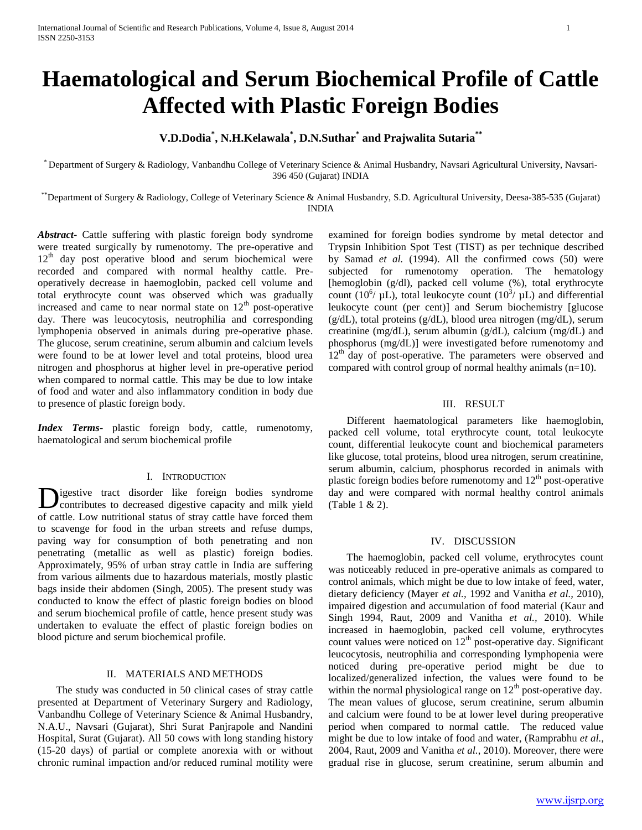# **Haematological and Serum Biochemical Profile of Cattle Affected with Plastic Foreign Bodies**

## **V.D.Dodia\* , N.H.Kelawala\* , D.N.Suthar\* and Prajwalita Sutaria\*\***

\* Department of Surgery & Radiology, Vanbandhu College of Veterinary Science & Animal Husbandry, Navsari Agricultural University, Navsari-396 450 (Gujarat) INDIA

\*\*Department of Surgery & Radiology, College of Veterinary Science & Animal Husbandry, S.D. Agricultural University, Deesa-385-535 (Gujarat) INDIA

*Abstract***-** Cattle suffering with plastic foreign body syndrome were treated surgically by rumenotomy. The pre-operative and 12<sup>th</sup> day post operative blood and serum biochemical were recorded and compared with normal healthy cattle. Preoperatively decrease in haemoglobin, packed cell volume and total erythrocyte count was observed which was gradually increased and came to near normal state on  $12<sup>th</sup>$  post-operative day. There was leucocytosis, neutrophilia and corresponding lymphopenia observed in animals during pre-operative phase. The glucose, serum creatinine, serum albumin and calcium levels were found to be at lower level and total proteins, blood urea nitrogen and phosphorus at higher level in pre-operative period when compared to normal cattle. This may be due to low intake of food and water and also inflammatory condition in body due to presence of plastic foreign body.

*Index Terms*- plastic foreign body, cattle, rumenotomy, haematological and serum biochemical profile

#### I. INTRODUCTION

igestive tract disorder like foreign bodies syndrome contributes to decreased digestive capacity and milk yield of cattle. Low nutritional status of stray cattle have forced them to scavenge for food in the urban streets and refuse dumps, paving way for consumption of both penetrating and non penetrating (metallic as well as plastic) foreign bodies. Approximately, 95% of urban stray cattle in India are suffering from various ailments due to hazardous materials, mostly plastic bags inside their abdomen (Singh, 2005). The present study was conducted to know the effect of plastic foreign bodies on blood and serum biochemical profile of cattle, hence present study was undertaken to evaluate the effect of plastic foreign bodies on blood picture and serum biochemical profile. D

## II. MATERIALS AND METHODS

 The study was conducted in 50 clinical cases of stray cattle presented at Department of Veterinary Surgery and Radiology, Vanbandhu College of Veterinary Science & Animal Husbandry, N.A.U., Navsari (Gujarat), Shri Surat Panjrapole and Nandini Hospital, Surat (Gujarat). All 50 cows with long standing history (15-20 days) of partial or complete anorexia with or without chronic ruminal impaction and/or reduced ruminal motility were examined for foreign bodies syndrome by metal detector and Trypsin Inhibition Spot Test (TIST) as per technique described by Samad *et al.* (1994). All the confirmed cows (50) were subjected for rumenotomy operation. The hematology [hemoglobin (g/dl), packed cell volume (%), total erythrocyte count (10<sup>6</sup>/  $\mu$ L), total leukocyte count (10<sup>3</sup>/  $\mu$ L) and differential leukocyte count (per cent)] and Serum biochemistry [glucose (g/dL), total proteins (g/dL), blood urea nitrogen (mg/dL), serum creatinine (mg/dL), serum albumin (g/dL), calcium (mg/dL) and phosphorus (mg/dL)] were investigated before rumenotomy and 12<sup>th</sup> day of post-operative. The parameters were observed and compared with control group of normal healthy animals  $(n=10)$ .

## III. RESULT

 Different haematological parameters like haemoglobin, packed cell volume, total erythrocyte count, total leukocyte count, differential leukocyte count and biochemical parameters like glucose, total proteins, blood urea nitrogen, serum creatinine, serum albumin, calcium, phosphorus recorded in animals with plastic foreign bodies before rumenotomy and  $12<sup>th</sup>$  post-operative day and were compared with normal healthy control animals (Table 1 & 2).

### IV. DISCUSSION

 The haemoglobin, packed cell volume, erythrocytes count was noticeably reduced in pre-operative animals as compared to control animals, which might be due to low intake of feed, water, dietary deficiency (Mayer *et al.,* 1992 and Vanitha *et al.,* 2010), impaired digestion and accumulation of food material (Kaur and Singh 1994, Raut, 2009 and Vanitha *et al.,* 2010). While increased in haemoglobin, packed cell volume, erythrocytes count values were noticed on  $12<sup>th</sup>$  post-operative day. Significant leucocytosis, neutrophilia and corresponding lymphopenia were noticed during pre-operative period might be due to localized/generalized infection, the values were found to be within the normal physiological range on  $12<sup>th</sup>$  post-operative day. The mean values of glucose, serum creatinine, serum albumin and calcium were found to be at lower level during preoperative period when compared to normal cattle. The reduced value might be due to low intake of food and water, (Ramprabhu *et al.,*  2004, Raut, 2009 and Vanitha *et al.*, 2010). Moreover, there were gradual rise in glucose, serum creatinine, serum albumin and